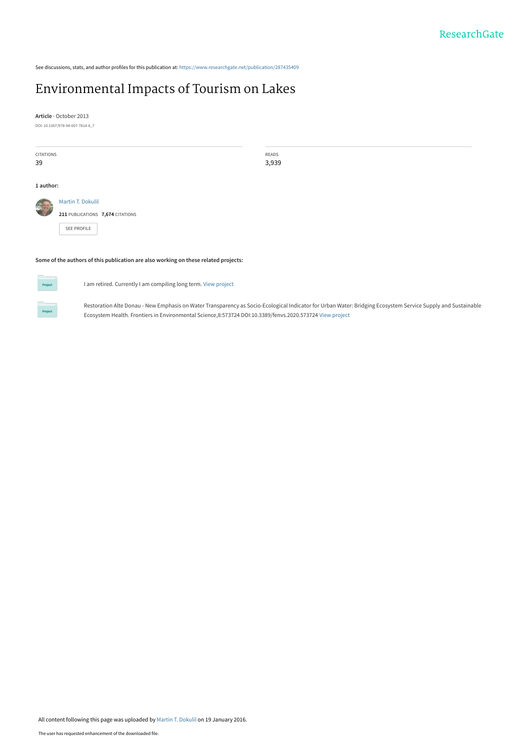See discussions, stats, and author profiles for this publication at: [https://www.researchgate.net/publication/287435409](https://www.researchgate.net/publication/287435409_Environmental_Impacts_of_Tourism_on_Lakes?enrichId=rgreq-c8b134033e49c37f2c0906f48bb71b4e-XXX&enrichSource=Y292ZXJQYWdlOzI4NzQzNTQwOTtBUzozMTk1Njc1ODk1MTExNjhAMTQ1MzIwMjI1ODMxNQ%3D%3D&el=1_x_2&_esc=publicationCoverPdf)

# [Environmental Impacts of Tourism on Lakes](https://www.researchgate.net/publication/287435409_Environmental_Impacts_of_Tourism_on_Lakes?enrichId=rgreq-c8b134033e49c37f2c0906f48bb71b4e-XXX&enrichSource=Y292ZXJQYWdlOzI4NzQzNTQwOTtBUzozMTk1Njc1ODk1MTExNjhAMTQ1MzIwMjI1ODMxNQ%3D%3D&el=1_x_3&_esc=publicationCoverPdf)

**Article** · October 2013

DOI: 10.1007/978-94-007-7814-6\_7

| CITATIONS<br>39                                                                     |                                                                      | READS<br>3,939 |  |
|-------------------------------------------------------------------------------------|----------------------------------------------------------------------|----------------|--|
| 1 author:                                                                           |                                                                      |                |  |
| 学习                                                                                  | Martin T. Dokulil<br>211 PUBLICATIONS 7,674 CITATIONS<br>SEE PROFILE |                |  |
| Some of the authors of this publication are also working on these related projects: |                                                                      |                |  |



I am retired. Currently I am compiling long term. [View project](https://www.researchgate.net/project/I-am-retired-Currently-I-am-compiling-long-term?enrichId=rgreq-c8b134033e49c37f2c0906f48bb71b4e-XXX&enrichSource=Y292ZXJQYWdlOzI4NzQzNTQwOTtBUzozMTk1Njc1ODk1MTExNjhAMTQ1MzIwMjI1ODMxNQ%3D%3D&el=1_x_9&_esc=publicationCoverPdf)

Restoration Alte Donau - New Emphasis on Water Transparency as Socio-Ecological Indicator for Urban Water: Bridging Ecosystem Service Supply and Sustainable Ecosystem Health. Frontiers in Environmental Science,8:573724 DOI:10.3389/fenvs.2020.573724 [View project](https://www.researchgate.net/project/Restoration-Alte-Donau-New-Emphasis-on-Water-Transparency-as-Socio-Ecological-Indicator-for-Urban-Water-Bridging-Ecosystem-Service-Supply-and-Sustainable-Ecosystem-Health-Frontiers-in-Environmental?enrichId=rgreq-c8b134033e49c37f2c0906f48bb71b4e-XXX&enrichSource=Y292ZXJQYWdlOzI4NzQzNTQwOTtBUzozMTk1Njc1ODk1MTExNjhAMTQ1MzIwMjI1ODMxNQ%3D%3D&el=1_x_9&_esc=publicationCoverPdf)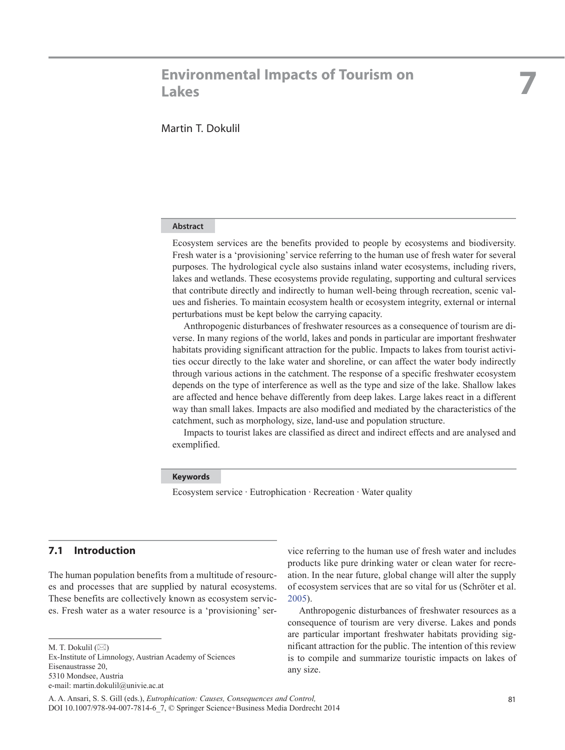# **7 Environmental Impacts of Tourism on Lakes**

# **Abstract**

Ecosystem services are the benefits provided to people by ecosystems and biodiversity. Fresh water is a 'provisioning' service referring to the human use of fresh water for several purposes. The hydrological cycle also sustains inland water ecosystems, including rivers, lakes and wetlands. These ecosystems provide regulating, supporting and cultural services that contribute directly and indirectly to human well-being through recreation, scenic values and fisheries. To maintain ecosystem health or ecosystem integrity, external or internal perturbations must be kept below the carrying capacity.

Anthropogenic disturbances of freshwater resources as a consequence of tourism are diverse. In many regions of the world, lakes and ponds in particular are important freshwater habitats providing significant attraction for the public. Impacts to lakes from tourist activities occur directly to the lake water and shoreline, or can affect the water body indirectly through various actions in the catchment. The response of a specific freshwater ecosystem depends on the type of interference as well as the type and size of the lake. Shallow lakes are affected and hence behave differently from deep lakes. Large lakes react in a different way than small lakes. Impacts are also modified and mediated by the characteristics of the catchment, such as morphology, size, land-use and population structure.

Impacts to tourist lakes are classified as direct and indirect effects and are analysed and exemplified.

#### **Keywords**

Ecosystem service · Eutrophication · Recreation · Water quality

# **7.1 Introduction**

The human population benefits from a multitude of resources and processes that are supplied by natural ecosystems. These benefits are collectively known as ecosystem services. Fresh water as a water resource is a 'provisioning' ser-

Ex-Institute of Limnology, Austrian Academy of Sciences Eisenaustrasse 20, 5310 Mondsee, Austria e-mail: martin.dokulil@univie.ac.at

vice referring to the human use of fresh water and includes products like pure drinking water or clean water for recreation. In the near future, global change will alter the supply of ecosystem services that are so vital for us (Schröter et al. 2005).

Anthropogenic disturbances of freshwater resources as a consequence of tourism are very diverse. Lakes and ponds are particular important freshwater habitats providing significant attraction for the public. The intention of this review is to compile and summarize touristic impacts on lakes of any size.

M. T. Dokulil  $(\boxtimes)$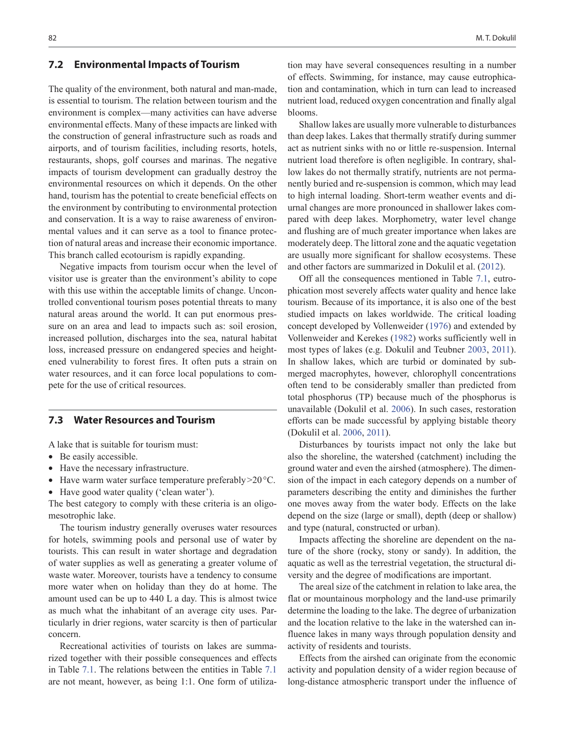#### **7.2 Environmental Impacts of Tourism**

The quality of the environment, both natural and man-made, is essential to tourism. The relation between tourism and the environment is complex—many activities can have adverse environmental effects. Many of these impacts are linked with the construction of general infrastructure such as roads and airports, and of tourism facilities, including resorts, hotels, restaurants, shops, golf courses and marinas. The negative impacts of tourism development can gradually destroy the environmental resources on which it depends. On the other hand, tourism has the potential to create beneficial effects on the environment by contributing to environmental protection and conservation. It is a way to raise awareness of environmental values and it can serve as a tool to finance protection of natural areas and increase their economic importance. This branch called ecotourism is rapidly expanding.

Negative impacts from tourism occur when the level of visitor use is greater than the environment's ability to cope with this use within the acceptable limits of change. Uncontrolled conventional tourism poses potential threats to many natural areas around the world. It can put enormous pressure on an area and lead to impacts such as: soil erosion, increased pollution, discharges into the sea, natural habitat loss, increased pressure on endangered species and heightened vulnerability to forest fires. It often puts a strain on water resources, and it can force local populations to compete for the use of critical resources.

## **7.3 Water Resources and Tourism**

A lake that is suitable for tourism must:

- Be easily accessible.
- Have the necessary infrastructure.
- Have warm water surface temperature preferably > 20 °C.
- Have good water quality ('clean water').

The best category to comply with these criteria is an oligomesotrophic lake.

The tourism industry generally overuses water resources for hotels, swimming pools and personal use of water by tourists. This can result in water shortage and degradation of water supplies as well as generating a greater volume of waste water. Moreover, tourists have a tendency to consume more water when on holiday than they do at home. The amount used can be up to 440 L a day. This is almost twice as much what the inhabitant of an average city uses. Particularly in drier regions, water scarcity is then of particular concern.

Recreational activities of tourists on lakes are summarized together with their possible consequences and effects in Table 7.1. The relations between the entities in Table 7.1 are not meant, however, as being 1:1. One form of utiliza-

tion may have several consequences resulting in a number of effects. Swimming, for instance, may cause eutrophication and contamination, which in turn can lead to increased nutrient load, reduced oxygen concentration and finally algal blooms.

Shallow lakes are usually more vulnerable to disturbances than deep lakes. Lakes that thermally stratify during summer act as nutrient sinks with no or little re-suspension. Internal nutrient load therefore is often negligible. In contrary, shallow lakes do not thermally stratify, nutrients are not permanently buried and re-suspension is common, which may lead to high internal loading. Short-term weather events and diurnal changes are more pronounced in shallower lakes compared with deep lakes. Morphometry, water level change and flushing are of much greater importance when lakes are moderately deep. The littoral zone and the aquatic vegetation are usually more significant for shallow ecosystems. These and other factors are summarized in Dokulil et al. (2012).

Off all the consequences mentioned in Table 7.1, eutrophication most severely affects water quality and hence lake tourism. Because of its importance, it is also one of the best studied impacts on lakes worldwide. The critical loading concept developed by Vollenweider (1976) and extended by Vollenweider and Kerekes (1982) works sufficiently well in most types of lakes (e.g. Dokulil and Teubner 2003, 2011). In shallow lakes, which are turbid or dominated by submerged macrophytes, however, chlorophyll concentrations often tend to be considerably smaller than predicted from total phosphorus (TP) because much of the phosphorus is unavailable (Dokulil et al. 2006). In such cases, restoration efforts can be made successful by applying bistable theory (Dokulil et al. 2006, 2011).

Disturbances by tourists impact not only the lake but also the shoreline, the watershed (catchment) including the ground water and even the airshed (atmosphere). The dimension of the impact in each category depends on a number of parameters describing the entity and diminishes the further one moves away from the water body. Effects on the lake depend on the size (large or small), depth (deep or shallow) and type (natural, constructed or urban).

Impacts affecting the shoreline are dependent on the nature of the shore (rocky, stony or sandy). In addition, the aquatic as well as the terrestrial vegetation, the structural diversity and the degree of modifications are important.

The areal size of the catchment in relation to lake area, the flat or mountainous morphology and the land-use primarily determine the loading to the lake. The degree of urbanization and the location relative to the lake in the watershed can influence lakes in many ways through population density and activity of residents and tourists.

Effects from the airshed can originate from the economic activity and population density of a wider region because of long-distance atmospheric transport under the influence of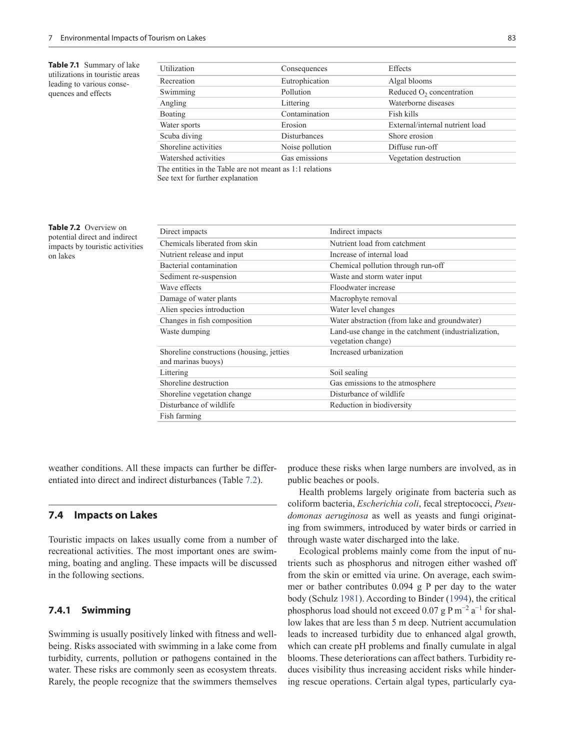**Table 7.1** Summary of lake utilizations in touristic areas leading to various consequences and effects

| Utilization                                              | Consequences    | Effects                              |  |  |  |
|----------------------------------------------------------|-----------------|--------------------------------------|--|--|--|
| Recreation                                               | Eutrophication  | Algal blooms                         |  |  |  |
| Swimming                                                 | Pollution       | Reduced O <sub>2</sub> concentration |  |  |  |
| Angling                                                  | Littering       | Waterborne diseases                  |  |  |  |
| <b>Boating</b>                                           | Contamination   | Fish kills                           |  |  |  |
| Water sports                                             | Erosion         | External/internal nutrient load      |  |  |  |
| Scuba diving                                             | Disturbances    | Shore erosion                        |  |  |  |
| Shoreline activities                                     | Noise pollution | Diffuse run-off                      |  |  |  |
| Watershed activities                                     | Gas emissions   | Vegetation destruction               |  |  |  |
| The entities in the Table are not meant as 1:1 relations |                 |                                      |  |  |  |
|                                                          |                 |                                      |  |  |  |

See text for further explanation

**Table 7.2** Overview on potential direct and indirect impacts by touristic activities on lakes

| Indirect impacts                                                           |  |  |  |
|----------------------------------------------------------------------------|--|--|--|
| Nutrient load from catchment                                               |  |  |  |
| Increase of internal load                                                  |  |  |  |
| Chemical pollution through run-off                                         |  |  |  |
| Waste and storm water input                                                |  |  |  |
| Floodwater increase                                                        |  |  |  |
| Macrophyte removal                                                         |  |  |  |
| Water level changes                                                        |  |  |  |
| Water abstraction (from lake and groundwater)                              |  |  |  |
| Land-use change in the catchment (industrialization,<br>vegetation change) |  |  |  |
| Increased urbanization                                                     |  |  |  |
| Soil sealing                                                               |  |  |  |
| Gas emissions to the atmosphere                                            |  |  |  |
| Disturbance of wildlife                                                    |  |  |  |
| Reduction in biodiversity                                                  |  |  |  |
|                                                                            |  |  |  |
|                                                                            |  |  |  |

weather conditions. All these impacts can further be differentiated into direct and indirect disturbances (Table 7.2).

### **7.4 Impacts on Lakes**

Touristic impacts on lakes usually come from a number of recreational activities. The most important ones are swimming, boating and angling. These impacts will be discussed in the following sections.

# **7.4.1 Swimming**

Swimming is usually positively linked with fitness and wellbeing. Risks associated with swimming in a lake come from turbidity, currents, pollution or pathogens contained in the water. These risks are commonly seen as ecosystem threats. Rarely, the people recognize that the swimmers themselves

produce these risks when large numbers are involved, as in public beaches or pools.

Health problems largely originate from bacteria such as coliform bacteria, *Escherichia coli*, fecal streptococci, *Pseudomonas aeruginosa* as well as yeasts and fungi originating from swimmers, introduced by water birds or carried in through waste water discharged into the lake.

Ecological problems mainly come from the input of nutrients such as phosphorus and nitrogen either washed off from the skin or emitted via urine. On average, each swimmer or bather contributes 0.094 g P per day to the water body (Schulz 1981). According to Binder (1994), the critical phosphorus load should not exceed 0.07 g P m<sup>-2</sup> a<sup>-1</sup> for shallow lakes that are less than 5 m deep. Nutrient accumulation leads to increased turbidity due to enhanced algal growth, which can create pH problems and finally cumulate in algal blooms. These deteriorations can affect bathers. Turbidity reduces visibility thus increasing accident risks while hindering rescue operations. Certain algal types, particularly cya-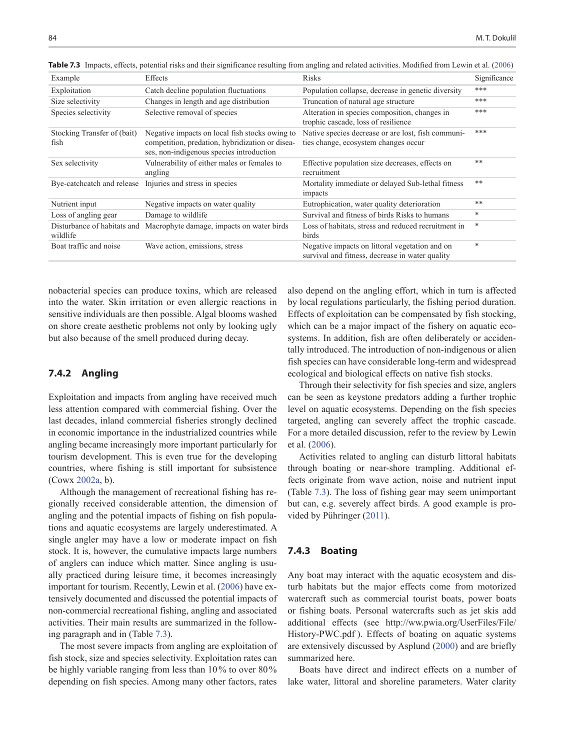| Example                                 | Effects                                                                                                                                       | <b>Risks</b>                                                                                      | Significance |
|-----------------------------------------|-----------------------------------------------------------------------------------------------------------------------------------------------|---------------------------------------------------------------------------------------------------|--------------|
| Exploitation                            | Catch decline population fluctuations                                                                                                         | Population collapse, decrease in genetic diversity                                                | ***          |
| Size selectivity                        | Changes in length and age distribution                                                                                                        | Truncation of natural age structure                                                               | ***          |
| Species selectivity                     | Selective removal of species                                                                                                                  | Alteration in species composition, changes in<br>trophic cascade, loss of resilience              | ***          |
| Stocking Transfer of (bait)<br>fish     | Negative impacts on local fish stocks owing to<br>competition, predation, hybridization or disea-<br>ses, non-indigenous species introduction | Native species decrease or are lost, fish communi-<br>ties change, ecosystem changes occur        | ***          |
| Sex selectivity                         | Vulnerability of either males or females to<br>angling                                                                                        | Effective population size decreases, effects on<br>recruitment                                    | **           |
|                                         | Bye-catchcatch and release Injuries and stress in species                                                                                     | Mortality immediate or delayed Sub-lethal fitness<br>impacts                                      | **           |
| Nutrient input                          | Negative impacts on water quality                                                                                                             | Eutrophication, water quality deterioration                                                       | **           |
| Loss of angling gear                    | Damage to wildlife                                                                                                                            | Survival and fitness of birds Risks to humans                                                     | *            |
| Disturbance of habitats and<br>wildlife | Macrophyte damage, impacts on water birds                                                                                                     | Loss of habitats, stress and reduced recruitment in<br>birds                                      | *            |
| Boat traffic and noise                  | Wave action, emissions, stress                                                                                                                | Negative impacts on littoral vegetation and on<br>survival and fitness, decrease in water quality | *            |

**Table 7.3** Impacts, effects, potential risks and their significance resulting from angling and related activities. Modified from Lewin et al. (2006)

nobacterial species can produce toxins, which are released into the water. Skin irritation or even allergic reactions in sensitive individuals are then possible. Algal blooms washed on shore create aesthetic problems not only by looking ugly but also because of the smell produced during decay.

## **7.4.2 Angling**

Exploitation and impacts from angling have received much less attention compared with commercial fishing. Over the last decades, inland commercial fisheries strongly declined in economic importance in the industrialized countries while angling became increasingly more important particularly for tourism development. This is even true for the developing countries, where fishing is still important for subsistence (Cowx 2002a, b).

Although the management of recreational fishing has regionally received considerable attention, the dimension of angling and the potential impacts of fishing on fish populations and aquatic ecosystems are largely underestimated. A single angler may have a low or moderate impact on fish stock. It is, however, the cumulative impacts large numbers of anglers can induce which matter. Since angling is usually practiced during leisure time, it becomes increasingly important for tourism. Recently, Lewin et al. (2006) have extensively documented and discussed the potential impacts of non-commercial recreational fishing, angling and associated activities. Their main results are summarized in the following paragraph and in (Table 7.3).

The most severe impacts from angling are exploitation of fish stock, size and species selectivity. Exploitation rates can be highly variable ranging from less than 10% to over 80% depending on fish species. Among many other factors, rates

also depend on the angling effort, which in turn is affected by local regulations particularly, the fishing period duration. Effects of exploitation can be compensated by fish stocking, which can be a major impact of the fishery on aquatic ecosystems. In addition, fish are often deliberately or accidentally introduced. The introduction of non-indigenous or alien fish species can have considerable long-term and widespread ecological and biological effects on native fish stocks.

Through their selectivity for fish species and size, anglers can be seen as keystone predators adding a further trophic level on aquatic ecosystems. Depending on the fish species targeted, angling can severely affect the trophic cascade. For a more detailed discussion, refer to the review by Lewin et al. (2006).

Activities related to angling can disturb littoral habitats through boating or near-shore trampling. Additional effects originate from wave action, noise and nutrient input (Table 7.3). The loss of fishing gear may seem unimportant but can, e.g. severely affect birds. A good example is provided by Pühringer (2011).

### **7.4.3 Boating**

Any boat may interact with the aquatic ecosystem and disturb habitats but the major effects come from motorized watercraft such as commercial tourist boats, power boats or fishing boats. Personal watercrafts such as jet skis add additional effects (see [http://ww.pwia.org/UserFiles/File/](http://ww.pwia.org/UserFiles/File/History-PWC.pdf) [History-PWC.pdf](http://ww.pwia.org/UserFiles/File/History-PWC.pdf)). Effects of boating on aquatic systems are extensively discussed by Asplund (2000) and are briefly summarized here.

Boats have direct and indirect effects on a number of lake water, littoral and shoreline parameters. Water clarity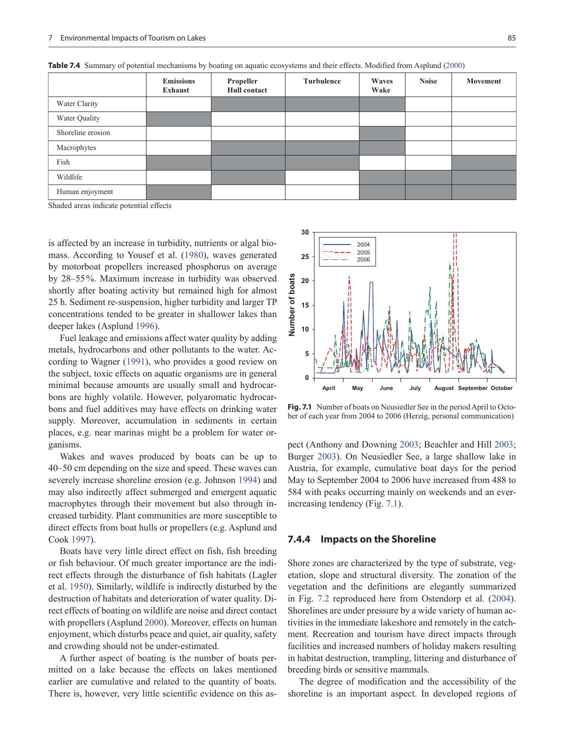|                   | <b>Emissions</b><br>Exhaust | Propeller<br><b>Hull contact</b> | Turbulence | Waves<br>Wake | <b>Noise</b> | Movement |
|-------------------|-----------------------------|----------------------------------|------------|---------------|--------------|----------|
| Water Clarity     |                             |                                  |            |               |              |          |
| Water Quality     |                             |                                  |            |               |              |          |
| Shoreline erosion |                             |                                  |            |               |              |          |
| Macrophytes       |                             |                                  |            |               |              |          |
| Fish              |                             |                                  |            |               |              |          |
| Wildlife          |                             |                                  |            |               |              |          |
| Human enjoyment   |                             |                                  |            |               |              |          |

**Table 7.4** Summary of potential mechanisms by boating on aquatic ecosystems and their effects. Modified from Asplund (2000)

Shaded areas indicate potential effects

is affected by an increase in turbidity, nutrients or algal biomass. According to Yousef et al. (1980), waves generated by motorboat propellers increased phosphorus on average by 28–55%. Maximum increase in turbidity was observed shortly after boating activity but remained high for almost 25 h. Sediment re-suspension, higher turbidity and larger TP concentrations tended to be greater in shallower lakes than deeper lakes (Asplund 1996).

Fuel leakage and emissions affect water quality by adding metals, hydrocarbons and other pollutants to the water. According to Wagner (1991), who provides a good review on the subject, toxic effects on aquatic organisms are in general minimal because amounts are usually small and hydrocarbons are highly volatile. However, polyaromatic hydrocarbons and fuel additives may have effects on drinking water supply. Moreover, accumulation in sediments in certain places, e.g. near marinas might be a problem for water organisms.

Wakes and waves produced by boats can be up to 40–50 cm depending on the size and speed. These waves can severely increase shoreline erosion (e.g. Johnson 1994) and may also indirectly affect submerged and emergent aquatic macrophytes through their movement but also through increased turbidity. Plant communities are more susceptible to direct effects from boat hulls or propellers (e.g. Asplund and Cook 1997).

Boats have very little direct effect on fish, fish breeding or fish behaviour. Of much greater importance are the indirect effects through the disturbance of fish habitats (Lagler et al. 1950). Similarly, wildlife is indirectly disturbed by the destruction of habitats and deterioration of water quality. Direct effects of boating on wildlife are noise and direct contact with propellers (Asplund 2000). Moreover, effects on human enjoyment, which disturbs peace and quiet, air quality, safety and crowding should not be under-estimated.

A further aspect of boating is the number of boats permitted on a lake because the effects on lakes mentioned earlier are cumulative and related to the quantity of boats. There is, however, very little scientific evidence on this as-



**Fig. 7.1** Number of boats on Neusiedler See in the period April to October of each year from 2004 to 2006 (Herzig, personal communication)

pect (Anthony and Downing 2003; Beachler and Hill 2003; Burger 2003). On Neusiedler See, a large shallow lake in Austria, for example, cumulative boat days for the period May to September 2004 to 2006 have increased from 488 to 584 with peaks occurring mainly on weekends and an everincreasing tendency (Fig. 7.1).

#### **7.4.4 Impacts on the Shoreline**

Shore zones are characterized by the type of substrate, vegetation, slope and structural diversity. The zonation of the vegetation and the definitions are elegantly summarized in Fig. 7.2 reproduced here from Ostendorp et al. (2004). Shorelines are under pressure by a wide variety of human activities in the immediate lakeshore and remotely in the catchment. Recreation and tourism have direct impacts through facilities and increased numbers of holiday makers resulting in habitat destruction, trampling, littering and disturbance of breeding birds or sensitive mammals.

The degree of modification and the accessibility of the shoreline is an important aspect. In developed regions of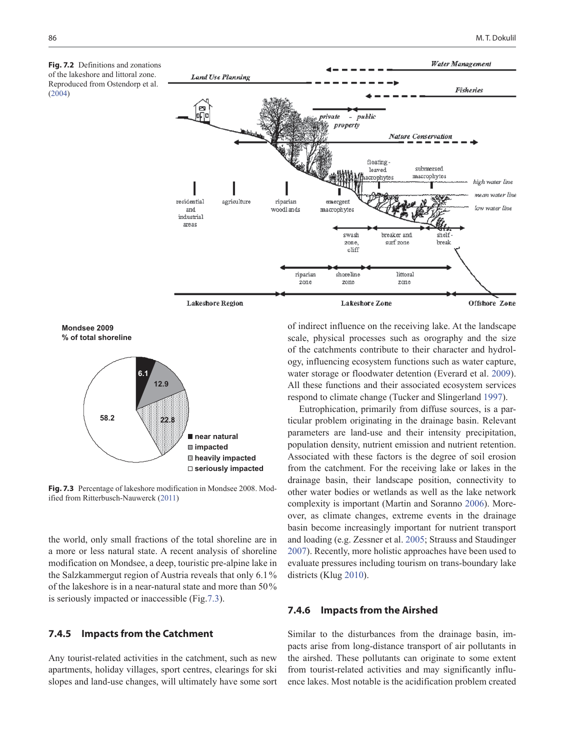

**Mondsee 2009 % of total shoreline**



**Fig. 7.3** Percentage of lakeshore modification in Mondsee 2008. Modified from Ritterbusch-Nauwerck (2011)

the world, only small fractions of the total shoreline are in a more or less natural state. A recent analysis of shoreline modification on Mondsee, a deep, touristic pre-alpine lake in the Salzkammergut region of Austria reveals that only 6.1% of the lakeshore is in a near-natural state and more than 50% is seriously impacted or inaccessible (Fig.7.3).

#### **7.4.5 Impacts from the Catchment**

Any tourist-related activities in the catchment, such as new apartments, holiday villages, sport centres, clearings for ski slopes and land-use changes, will ultimately have some sort

of indirect influence on the receiving lake. At the landscape scale, physical processes such as orography and the size of the catchments contribute to their character and hydrology, influencing ecosystem functions such as water capture, water storage or floodwater detention (Everard et al. 2009). All these functions and their associated ecosystem services respond to climate change (Tucker and Slingerland 1997).

Eutrophication, primarily from diffuse sources, is a particular problem originating in the drainage basin. Relevant parameters are land-use and their intensity precipitation, population density, nutrient emission and nutrient retention. Associated with these factors is the degree of soil erosion from the catchment. For the receiving lake or lakes in the drainage basin, their landscape position, connectivity to other water bodies or wetlands as well as the lake network complexity is important (Martin and Soranno 2006). Moreover, as climate changes, extreme events in the drainage basin become increasingly important for nutrient transport and loading (e.g. Zessner et al. 2005; Strauss and Staudinger 2007). Recently, more holistic approaches have been used to evaluate pressures including tourism on trans-boundary lake districts (Klug 2010).

### **7.4.6 Impacts from the Airshed**

Similar to the disturbances from the drainage basin, impacts arise from long-distance transport of air pollutants in the airshed. These pollutants can originate to some extent from tourist-related activities and may significantly influence lakes. Most notable is the acidification problem created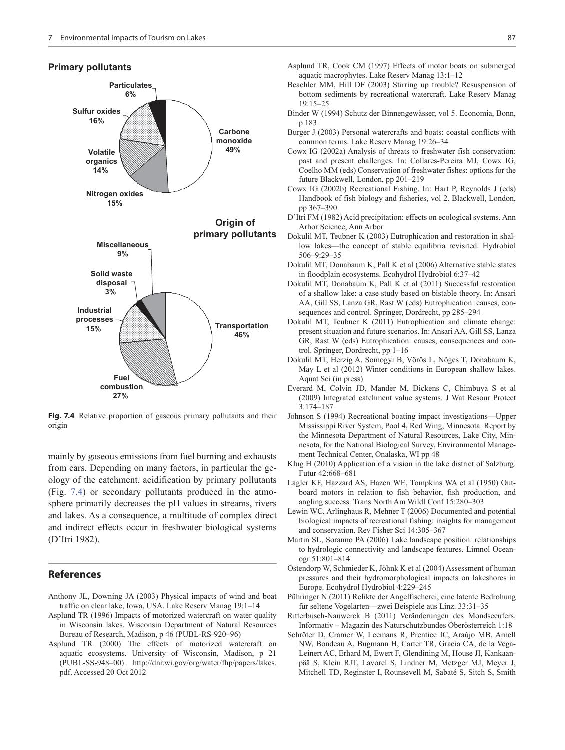# **Primary pollutants**



**Fig. 7.4** Relative proportion of gaseous primary pollutants and their origin

mainly by gaseous emissions from fuel burning and exhausts from cars. Depending on many factors, in particular the geology of the catchment, acidification by primary pollutants (Fig. 7.4) or secondary pollutants produced in the atmosphere primarily decreases the pH values in streams, rivers and lakes. As a consequence, a multitude of complex direct and indirect effects occur in freshwater biological systems (D'Itri 1982).

#### **References**

- Anthony JL, Downing JA (2003) Physical impacts of wind and boat traffic on clear lake, Iowa, USA. Lake Reserv Manag 19:1–14
- Asplund TR (1996) Impacts of motorized watercraft on water quality in Wisconsin lakes. Wisconsin Department of Natural Resources Bureau of Research, Madison, p 46 (PUBL-RS-920–96)
- Asplund TR (2000) The effects of motorized watercraft on aquatic ecosystems. University of Wisconsin, Madison, p 21 (PUBL-SS-948–00). [http://dnr.wi.gov/org/water/fhp/papers/lakes.](http://dnr.wi.gov/org/water/fhp/papers/lakes.pdf) [pdf](http://dnr.wi.gov/org/water/fhp/papers/lakes.pdf). Accessed 20 Oct 2012
- Asplund TR, Cook CM (1997) Effects of motor boats on submerged aquatic macrophytes. Lake Reserv Manag 13:1–12
- Beachler MM, Hill DF (2003) Stirring up trouble? Resuspension of bottom sediments by recreational watercraft. Lake Reserv Manag 19:15–25
- Binder W (1994) Schutz der Binnengewässer, vol 5. Economia, Bonn, p 183
- Burger J (2003) Personal watercrafts and boats: coastal conflicts with common terms. Lake Reserv Manag 19:26–34
- Cowx IG (2002a) Analysis of threats to freshwater fish conservation: past and present challenges. In: Collares-Pereira MJ, Cowx IG, Coelho MM (eds) Conservation of freshwater fishes: options for the future Blackwell, London, pp 201–219
- Cowx IG (2002b) Recreational Fishing. In: Hart P, Reynolds J (eds) Handbook of fish biology and fisheries, vol 2. Blackwell, London, pp 367–390
- D'Itri FM (1982) Acid precipitation: effects on ecological systems. Ann Arbor Science, Ann Arbor
- Dokulil MT, Teubner K (2003) Eutrophication and restoration in shallow lakes—the concept of stable equilibria revisited. Hydrobiol 506–9:29–35
- Dokulil MT, Donabaum K, Pall K et al (2006) Alternative stable states in floodplain ecosystems. Ecohydrol Hydrobiol 6:37–42
- Dokulil MT, Donabaum K, Pall K et al (2011) Successful restoration of a shallow lake: a case study based on bistable theory. In: Ansari AA, Gill SS, Lanza GR, Rast W (eds) Eutrophication: causes, consequences and control. Springer, Dordrecht, pp 285–294
- Dokulil MT, Teubner K (2011) Eutrophication and climate change: present situation and future scenarios. In: Ansari AA, Gill SS, Lanza GR, Rast W (eds) Eutrophication: causes, consequences and control. Springer, Dordrecht, pp 1–16
- Dokulil MT, Herzig A, Somogyi B, Vörös L, Nõges T, Donabaum K, May L et al (2012) Winter conditions in European shallow lakes. Aquat Sci (in press)
- Everard M, Colvin JD, Mander M, Dickens C, Chimbuya S et al (2009) Integrated catchment value systems. J Wat Resour Protect 3:174–187
- Johnson S (1994) Recreational boating impact investigations—Upper Mississippi River System, Pool 4, Red Wing, Minnesota. Report by the Minnesota Department of Natural Resources, Lake City, Minnesota, for the National Biological Survey, Environmental Management Technical Center, Onalaska, WI pp 48
- Klug H (2010) Application of a vision in the lake district of Salzburg. Futur 42:668–681
- Lagler KF, Hazzard AS, Hazen WE, Tompkins WA et al (1950) Outboard motors in relation to fish behavior, fish production, and angling success. Trans North Am Wildl Conf 15:280–303
- Lewin WC, Arlinghaus R, Mehner T (2006) Documented and potential biological impacts of recreational fishing: insights for management and conservation. Rev Fisher Sci 14:305–367
- Martin SL, Soranno PA (2006) Lake landscape position: relationships to hydrologic connectivity and landscape features. Limnol Oceanogr 51:801–814
- Ostendorp W, Schmieder K, Jöhnk K et al (2004) Assessment of human pressures and their hydromorphological impacts on lakeshores in Europe. Ecohydrol Hydrobiol 4:229–245
- Pühringer N (2011) Relikte der Angelfischerei, eine latente Bedrohung für seltene Vogelarten—zwei Beispiele aus Linz. 33:31–35
- Ritterbusch-Nauwerck B (2011) Veränderungen des Mondseeufers. Informativ – Magazin des Naturschutzbundes Oberösterreich 1:18
- Schröter D, Cramer W, Leemans R, Prentice IC, Araújo MB, Arnell NW, Bondeau A, Bugmann H, Carter TR, Gracia CA, de la Vega-Leinert AC, Erhard M, Ewert F, Glendining M, House JI, Kankaanpää S, Klein RJT, Lavorel S, Lindner M, Metzger MJ, Meyer J, Mitchell TD, Reginster I, Rounsevell M, Sabaté S, Sitch S, Smith